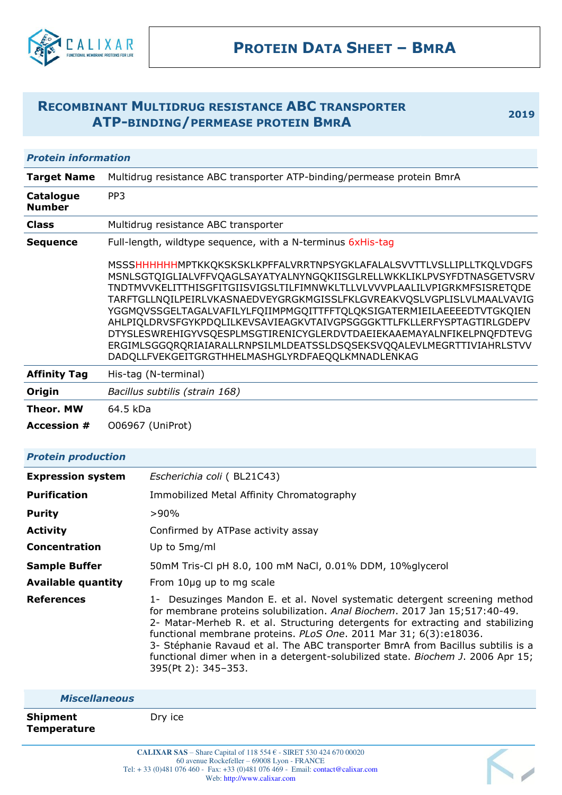

# **RECOMBINANT MULTIDRUG RESISTANCE ABC TRANSPORTER ATP-BINDING/PERMEASE PROTEIN BMRA <sup>2019</sup>**

Κ,

# *Protein information*

| <b>Target Name</b>                | Multidrug resistance ABC transporter ATP-binding/permease protein BmrA                                                                                                                                                                                                                                                                                                                                                                                                                                                                                                                                                                                  |  |  |
|-----------------------------------|---------------------------------------------------------------------------------------------------------------------------------------------------------------------------------------------------------------------------------------------------------------------------------------------------------------------------------------------------------------------------------------------------------------------------------------------------------------------------------------------------------------------------------------------------------------------------------------------------------------------------------------------------------|--|--|
| <b>Catalogue</b><br><b>Number</b> | PP <sub>3</sub>                                                                                                                                                                                                                                                                                                                                                                                                                                                                                                                                                                                                                                         |  |  |
| <b>Class</b>                      | Multidrug resistance ABC transporter                                                                                                                                                                                                                                                                                                                                                                                                                                                                                                                                                                                                                    |  |  |
| <b>Sequence</b>                   | Full-length, wildtype sequence, with a N-terminus 6xHis-tag                                                                                                                                                                                                                                                                                                                                                                                                                                                                                                                                                                                             |  |  |
|                                   | MSSSHHHHHHMPTKKQKSKSKLKPFFALVRRTNPSYGKLAFALALSVVTTLVSLLIPLLTKQLVDGFS<br>MSNLSGTQIGLIALVFFVQAGLSAYATYALNYNGQKIISGLRELLWKKLIKLPVSYFDTNASGETVSRV<br>TNDTMVVKELITTHISGFITGIISVIGSLTILFIMNWKLTLLVLVVVPLAALILVPIGRKMFSISRETQDE<br>TARFTGLLNQILPEIRLVKASNAEDVEYGRGKMGISSLFKLGVREAKVQSLVGPLISLVLMAALVAVIG<br>YGGMQVSSGELTAGALVAFILYLFQIIMPMGQITTFFTQLQKSIGATERMIEILAEEEEDTVTGKQIEN<br>AHLPIQLDRVSFGYKPDQLILKEVSAVIEAGKVTAIVGPSGGGKTTLFKLLERFYSPTAGTIRLGDEPV<br>DTYSLESWREHIGYVSQESPLMSGTIRENICYGLERDVTDAEIEKAAEMAYALNFIKELPNQFDTEVG<br>ERGIMLSGGQRQRIAIARALLRNPSILMLDEATSSLDSQSEKSVQQALEVLMEGRTTIVIAHRLSTVV<br>DADQLLFVEKGEITGRGTHHELMASHGLYRDFAEQQLKMNADLENKAG |  |  |
| <b>Affinity Tag</b>               | His-tag (N-terminal)                                                                                                                                                                                                                                                                                                                                                                                                                                                                                                                                                                                                                                    |  |  |
| Origin                            | Bacillus subtilis (strain 168)                                                                                                                                                                                                                                                                                                                                                                                                                                                                                                                                                                                                                          |  |  |
| <b>Theor. MW</b>                  | 64.5 kDa                                                                                                                                                                                                                                                                                                                                                                                                                                                                                                                                                                                                                                                |  |  |
| <b>Accession #</b>                | 006967 (UniProt)                                                                                                                                                                                                                                                                                                                                                                                                                                                                                                                                                                                                                                        |  |  |

## *Protein production*

| <b>Expression system</b>  | Escherichia coli (BL21C43)                                                                                                                                                                                                                                                                                                                                                                                                                                                                                    |  |  |
|---------------------------|---------------------------------------------------------------------------------------------------------------------------------------------------------------------------------------------------------------------------------------------------------------------------------------------------------------------------------------------------------------------------------------------------------------------------------------------------------------------------------------------------------------|--|--|
| <b>Purification</b>       | Immobilized Metal Affinity Chromatography                                                                                                                                                                                                                                                                                                                                                                                                                                                                     |  |  |
| <b>Purity</b>             | $>90\%$                                                                                                                                                                                                                                                                                                                                                                                                                                                                                                       |  |  |
| <b>Activity</b>           | Confirmed by ATPase activity assay                                                                                                                                                                                                                                                                                                                                                                                                                                                                            |  |  |
| Concentration             | Up to 5mg/ml                                                                                                                                                                                                                                                                                                                                                                                                                                                                                                  |  |  |
| <b>Sample Buffer</b>      | 50mM Tris-Cl pH 8.0, 100 mM NaCl, 0.01% DDM, 10%glycerol                                                                                                                                                                                                                                                                                                                                                                                                                                                      |  |  |
| <b>Available quantity</b> | From 10µg up to mg scale                                                                                                                                                                                                                                                                                                                                                                                                                                                                                      |  |  |
| <b>References</b>         | 1- Desuzinges Mandon E. et al. Novel systematic detergent screening method<br>for membrane proteins solubilization. Anal Biochem. 2017 Jan 15;517:40-49.<br>2- Matar-Merheb R. et al. Structuring detergents for extracting and stabilizing<br>functional membrane proteins. PLoS One. 2011 Mar 31; 6(3):e18036.<br>3- Stéphanie Ravaud et al. The ABC transporter BmrA from Bacillus subtilis is a<br>functional dimer when in a detergent-solubilized state. Biochem J. 2006 Apr 15;<br>395(Pt 2): 345-353. |  |  |

| <b>Miscellaneous</b>           |                                                                       |  |
|--------------------------------|-----------------------------------------------------------------------|--|
| <b>Shipment</b><br>Temperature | Dry ice                                                               |  |
|                                | $CATIVADRA$ $CAC$ Chang Capital of 110 $55AB$ CIDET 520 424 670 00020 |  |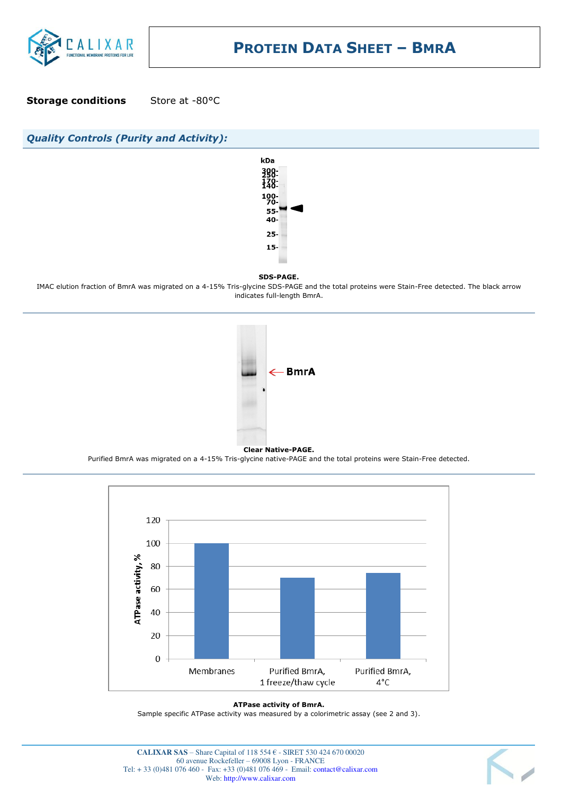

**Storage conditions** Store at -80°C



IMAC elution fraction of BmrA was migrated on a 4-15% Tris-glycine SDS-PAGE and the total proteins were Stain-Free detected. The black arrow indicates full-length BmrA.



Purified BmrA was migrated on a 4-15% Tris-glycine native-PAGE and the total proteins were Stain-Free detected.



#### **ATPase activity of BmrA.**

Sample specific ATPase activity was measured by a colorimetric assay (see 2 and 3).